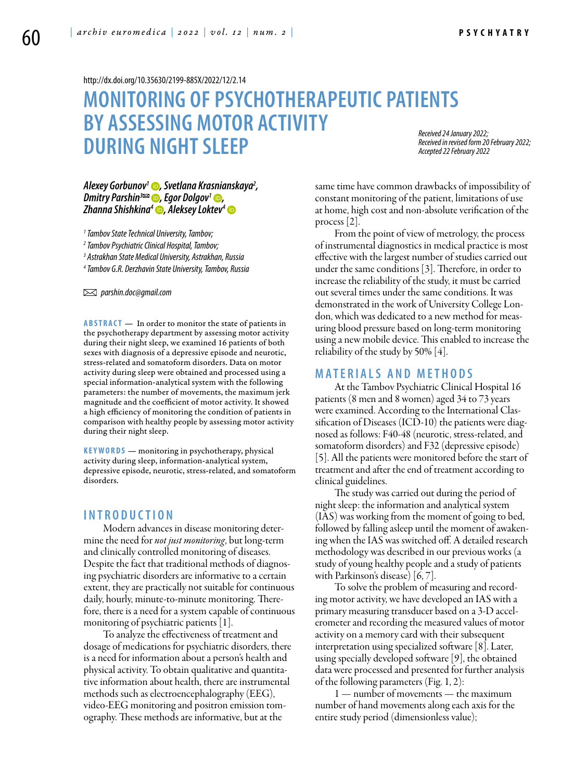<http://dx.doi.org/10.35630/2199-885X/2022/12/2.14>

## **MONITORING OF PSYCHOTHERAPEUTIC PATIENTS BY ASSESSING MOTOR ACTIVITY DURING NIGHT SLEEP**

*Received 24 January 2022; Received in revised form 20 February 2022; Accepted 22 February 2022*

# *[Alexey Gorbunov1](https://orcid.org/0000-0002-6880-0472) , Svetlana Krasnianskaya2 , [Dmitry Parshin](https://orcid.org/0000-0002-1050-7716)3 , Egor Dolgov1 , [Zhanna Shishkina](http://orcid.org/0000-0002-2744-2058)4 , [Aleksey Loktev](https://orcid.org/0000-0001-6214-7233)4*

*1 Tambov State Technical University, Tambov;*

*2 Tambov Psychiatric Clinical Hospital, Tambov;*

*3 Astrakhan State Medical University, Astrakhan, Russia*

*4 Tambov G.R. Derzhavin State University, Tambov, Russia*

 *parshin.doc@gmail.com* 

**ABSTRACT** — In order to monitor the state of patients in the psychotherapy department by assessing motor activity during their night sleep, we examined 16 patients of both sexes with diagnosis of a depressive episode and neurotic, stress-related and somatoform disorders. Data on motor activity during sleep were obtained and processed using a special information-analytical system with the following parameters: the number of movements, the maximum jerk magnitude and the coefficient of motor activity. It showed a high efficiency of monitoring the condition of patients in comparison with healthy people by assessing motor activity during their night sleep.

**KEYWORDS** — monitoring in psychotherapy, physical activity during sleep, information-analytical system, depressive episode, neurotic, stress-related, and somatoform disorders.

### **I ntroduction**

Modern advances in disease monitoring determine the need for *not just monitoring*, but long-term and clinically controlled monitoring of diseases. Despite the fact that traditional methods of diagnosing psychiatric disorders are informative to a certain extent, they are practically not suitable for continuous daily, hourly, minute-to-minute monitoring. Therefore, there is a need for a system capable of continuous monitoring of psychiatric patients [1].

To analyze the effectiveness of treatment and dosage of medications for psychiatric disorders, there is a need for information about a person's health and physical activity. To obtain qualitative and quantitative information about health, there are instrumental methods such as electroencephalography (EEG), video-EEG monitoring and positron emission tomography. These methods are informative, but at the

same time have common drawbacks of impossibility of constant monitoring of the patient, limitations of use at home, high cost and non-absolute verification of the process [2].

From the point of view of metrology, the process of instrumental diagnostics in medical practice is most effective with the largest number of studies carried out under the same conditions [3]. Therefore, in order to increase the reliability of the study, it must be carried out several times under the same conditions. It was demonstrated in the work of University College London, which was dedicated to a new method for measuring blood pressure based on long-term monitoring using a new mobile device. This enabled to increase the reliability of the study by 50% [4].

#### **Materials and methods**

At the Tambov Psychiatric Clinical Hospital 16 patients (8 men and 8 women) aged 34 to 73 years were examined. According to the International Classification of Diseases (ICD-10) the patients were diagnosed as follows: F40-48 (neurotic, stress-related, and somatoform disorders) and F32 (depressive episode) [5]. All the patients were monitored before the start of treatment and after the end of treatment according to clinical guidelines.

The study was carried out during the period of night sleep: the information and analytical system (IAS) was working from the moment of going to bed, followed by falling asleep until the moment of awakening when the IAS was switched off. A detailed research methodology was described in our previous works (a study of young healthy people and a study of patients with Parkinson's disease) [6, 7].

To solve the problem of measuring and recording motor activity, we have developed an IAS with a primary measuring transducer based on a 3-D accelerometer and recording the measured values of motor activity on a memory card with their subsequent interpretation using specialized software [8]. Later, using specially developed software [9], the obtained data were processed and presented for further analysis of the following parameters (Fig. 1, 2):

1 — number of movements — the maximum number of hand movements along each axis for the entire study period (dimensionless value);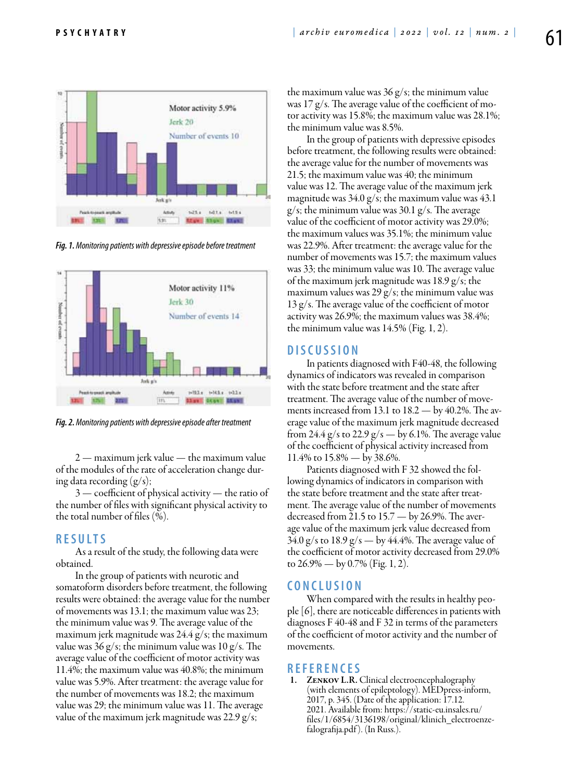

*Fig. 1. Monitoring patients with depressive episode before treatment*



*Fig. 2. Monitoring patients with depressive episode after treatment*

2 — maximum jerk value — the maximum value of the modules of the rate of acceleration change during data recording  $(g/s)$ ;

3 — coefficient of physical activity — the ratio of the number of files with significant physical activity to the total number of files (%).

#### **R esults**

As a result of the study, the following data were obtained.

In the group of patients with neurotic and somatoform disorders before treatment, the following results were obtained: the average value for the number of movements was 13.1; the maximum value was 23; the minimum value was 9. The average value of the maximum jerk magnitude was 24.4 g/s; the maximum value was  $36 \text{ g/s}$ ; the minimum value was  $10 \text{ g/s}$ . The average value of the coefficient of motor activity was 11.4%; the maximum value was 40.8%; the minimum value was 5.9%. After treatment: the average value for the number of movements was 18.2; the maximum value was 29; the minimum value was 11. The average value of the maximum jerk magnitude was 22.9 g/s;

the maximum value was 36 g/s; the minimum value was 17 g/s. The average value of the coefficient of motor activity was 15.8%; the maximum value was 28.1%; the minimum value was 8.5%.

In the group of patients with depressive episodes before treatment, the following results were obtained: the average value for the number of movements was 21.5; the maximum value was 40; the minimum value was 12. The average value of the maximum jerk magnitude was 34.0 g/s; the maximum value was 43.1 g/s; the minimum value was 30.1 g/s. The average value of the coefficient of motor activity was 29.0%; the maximum values was 35.1%; the minimum value was 22.9%. After treatment: the average value for the number of movements was 15.7; the maximum values was 33; the minimum value was 10. The average value of the maximum jerk magnitude was 18.9 g/s; the maximum values was 29 g/s; the minimum value was 13 g/s. The average value of the coefficient of motor activity was 26.9%; the maximum values was 38.4%; the minimum value was 14.5% (Fig. 1, 2).

#### **D iscussion**

In patients diagnosed with F40-48, the following dynamics of indicators was revealed in comparison with the state before treatment and the state after treatment. The average value of the number of movements increased from 13.1 to 18.2 — by 40.2%. The average value of the maximum jerk magnitude decreased from 24.4 g/s to 22.9 g/s — by 6.1%. The average value of the coefficient of physical activity increased from 11.4% to 15.8% — by 38.6%.

Patients diagnosed with F 32 showed the following dynamics of indicators in comparison with the state before treatment and the state after treatment. The average value of the number of movements decreased from 21.5 to  $15.7 -$  by 26.9%. The average value of the maximum jerk value decreased from  $34.0 \text{ g/s}$  to  $18.9 \text{ g/s}$  — by  $44.4\%$ . The average value of the coefficient of motor activity decreased from 29.0% to 26.9% — by 0.7% (Fig. 1, 2).

#### **C onclusion**

When compared with the results in healthy people [6], there are noticeable differences in patients with diagnoses F 40-48 and F 32 in terms of the parameters of the coefficient of motor activity and the number of movements.

**REFERENCES**<br>1. ZENKOV L.R. Clinical electroencephalography (with elements of epileptology). MEDpress-inform, 2017, р. 345. (Date of the application: 17.12. 2021. Available from: https://static-eu.insales.ru/ files/1/6854/3136198/original/klinich\_electroenzefalografija.pdf ). (In Russ.).